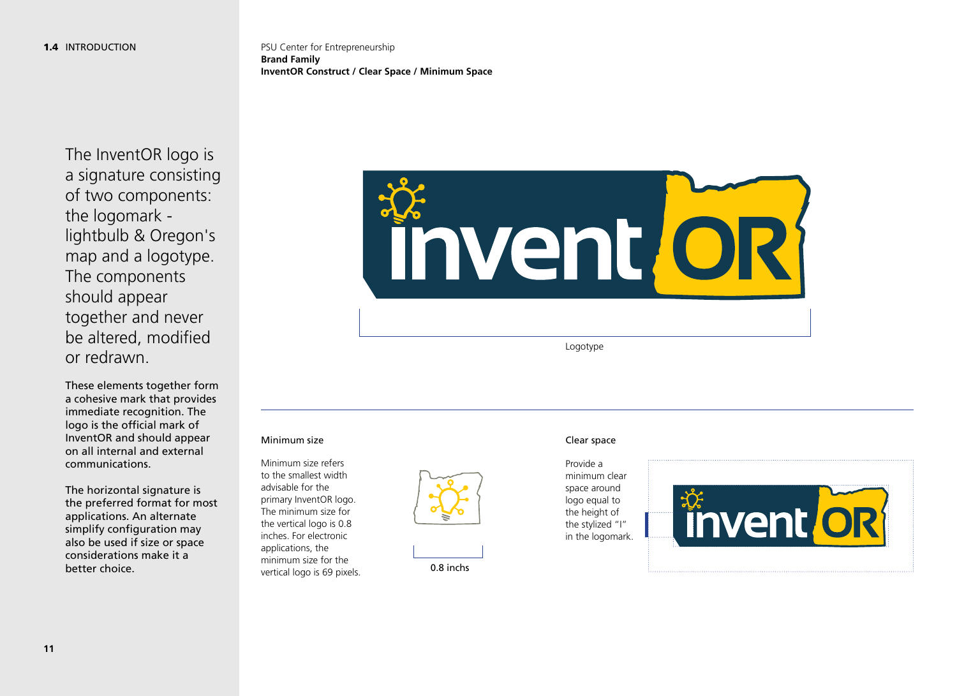PSU Center for Entrepreneurship **Brand Family InventOR Construct / Clear Space / Minimum Space**

The InventOR logo is a signature consisting of two components: the logomark lightbulb & Oregon's map and a logotype. The components should appear together and never be altered, modified or redrawn.

These elements together form a cohesive mark that provides immediate recognition. The logo is the official mark of InventOR and should appear on all internal and external communications.

The horizontal signature is the preferred format for most applications. An alternate simplify configuration may also be used if size or space considerations make it a better choice.



Logotype

#### Minimum size **Clear space**

Minimum size refers to the smallest width advisable for the primary InventOR logo. The minimum size for the vertical logo is 0.8 inches. For electronic applications, the minimum size for the vertical logo is 69 pixels.

0.8 inchs

#### Provide a minimum clear space around logo equal to the height of the stylized "I" in the logomark.

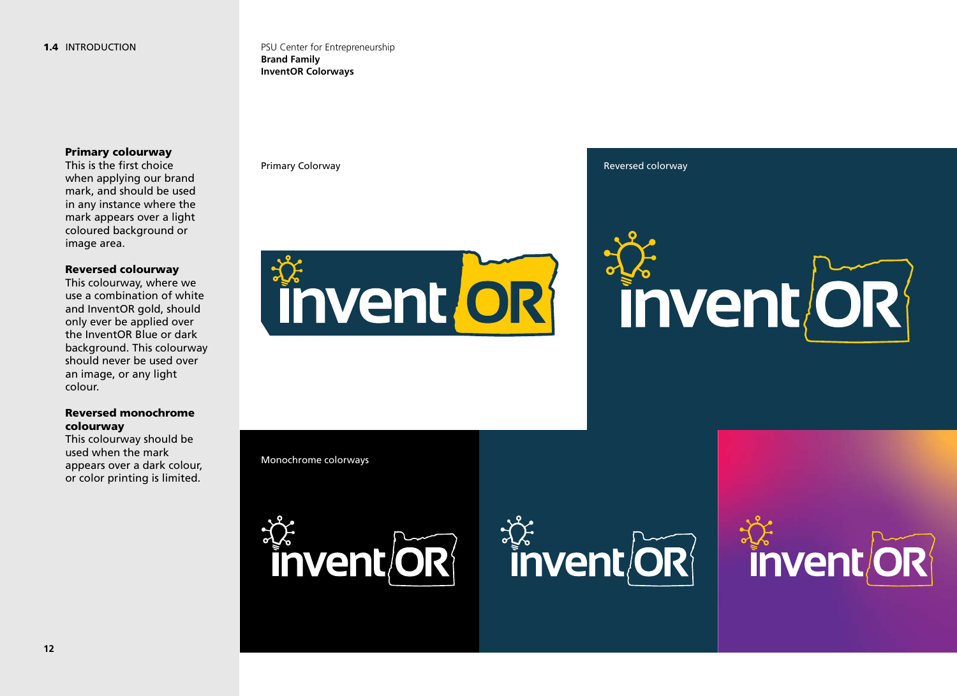PSU Center for Entrepreneurship **Brand Family InventOR Colorways**

#### Primary colourway

This is the first choice when applying our brand mark, and should be used in any instance where the mark appears over a light coloured background or image area.

#### Reversed colourway

This colourway, where we use a combination of white and InventOR gold, should only ever be applied over the InventOR Blue or dark background. This colourway should never be used over an image, or any light colour.

### Reversed monochrome colourway

This colourway should be used when the mark appears over a dark colour, or color printing is limited.



Primary Colorway **Reversed colorway Reversed colorway Reversed colorway** 



Monochrome colorways





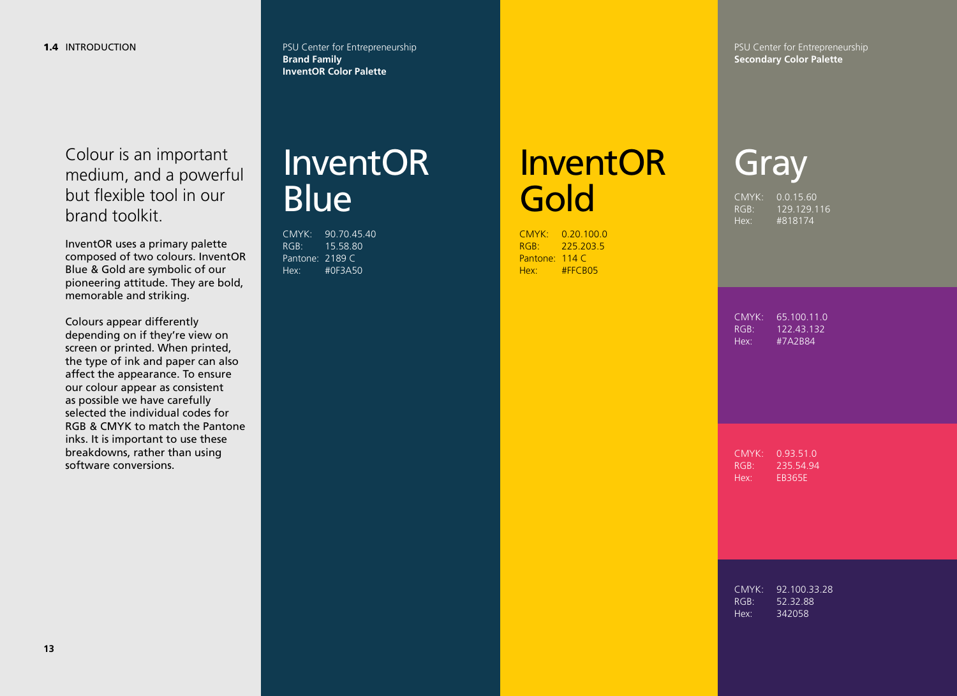PSU Center for Entrepreneurship **Brand Family InventOR Color Palette**

PSU Center for Entrepreneurship **Secondary Color Palette**

Colour is an important medium, and a powerful but flexible tool in our brand toolkit.

InventOR uses a primary palette composed of two colours. InventOR Blue & Gold are symbolic of our pioneering attitude. They are bold, memorable and striking.

Colours appear differently depending on if they're view on screen or printed. When printed, the type of ink and paper can also affect the appearance. To ensure our colour appear as consistent as possible we have carefully selected the individual codes for RGB & CMYK to match the Pantone inks. It is important to use these breakdowns, rather than using software conversions.

## InventOR **Blue**

CMYK: 90.70.45.40 RGB: 15.58.80 Pantone: 2189 C Hex: #0F3A50

# InventOR **Gold**

CMYK: 0.20.100.0 RGB: 225.203.5 Pantone: 114 C Hex: #FFCB05

CMYK: 0.0.15.60 RGB: 129.129.116 **Gray** 

Hex: #818174

CMYK: 65.100.11.0 RGB: 122.43.132 Hex: #7A2B84

CMYK: 0.93.51.0 RGB: 235.54.94 Hex: EB365E

CMYK: 92.100.33.28 RGB: 52.32.88 Hex: 342058